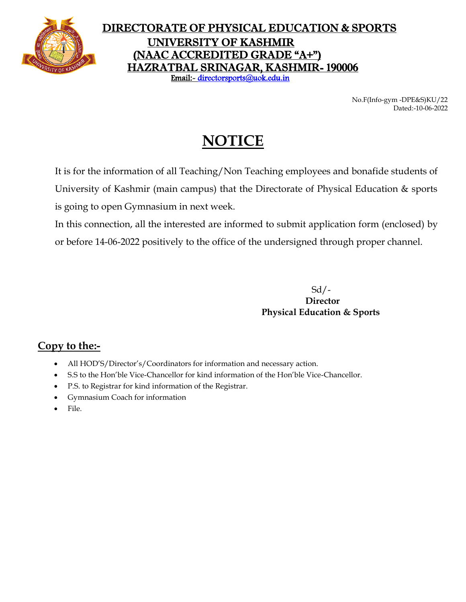

## DIRECTORATE OF PHYSICAL EDUCATION & SPORTS UNIVERSITY OF KASHMIR (NAAC ACCREDITED GRADE "A+") HAZRATBAL SRINAGAR, KASHMIR- 190006 Email:- [directorsports@uok.edu.in](mailto:directorsports@uok.edu.in)

No.F(Info-gym -DPE&S)KU/22 Dated:-10-06-2022

# **NOTICE**

It is for the information of all Teaching/Non Teaching employees and bonafide students of University of Kashmir (main campus) that the Directorate of Physical Education & sports is going to open Gymnasium in next week.

In this connection, all the interested are informed to submit application form (enclosed) by or before 14-06-2022 positively to the office of the undersigned through proper channel.

> Sd/-  **Director Physical Education & Sports**

## **Copy to the:-**

- All HOD'S/Director's/Coordinators for information and necessary action.
- S.S to the Hon'ble Vice-Chancellor for kind information of the Hon'ble Vice-Chancellor.
- P.S. to Registrar for kind information of the Registrar.
- Gymnasium Coach for information
- File.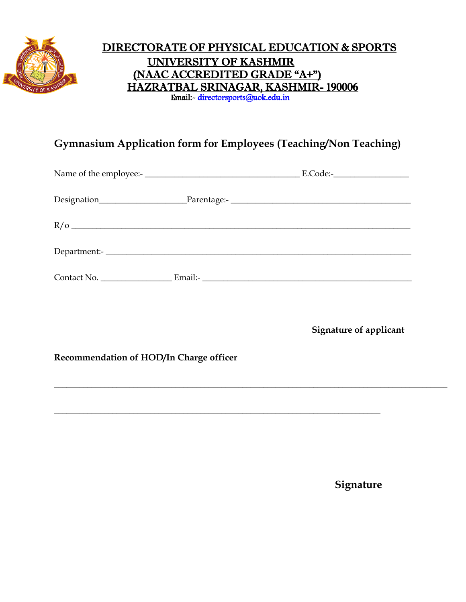

## DIRECTORATE OF PHYSICAL EDUCATION & SPORTS UNIVERSITY OF KASHMIR (NAAC ACCREDITED GRADE "A+") HAZRATBAL SRINAGAR, KASHMIR- 190006 Email:- [directorsports@uok.edu.in](mailto:directorsports@uok.edu.in)

## **Gymnasium Application form for Employees (Teaching/Non Teaching)**

\_\_\_\_\_\_\_\_\_\_\_\_\_\_\_\_\_\_\_\_\_\_\_\_\_\_\_\_\_\_\_\_\_\_\_\_\_\_\_\_\_\_\_\_\_\_\_\_\_\_\_\_\_\_\_\_\_\_\_\_\_\_\_\_\_\_\_\_\_\_\_\_\_\_\_\_\_\_\_\_\_\_\_\_\_\_\_\_\_\_\_\_\_\_

\_\_\_\_\_\_\_\_\_\_\_\_\_\_\_\_\_\_\_\_\_\_\_\_\_\_\_\_\_\_\_\_\_\_\_\_\_\_\_\_\_\_\_\_\_\_\_\_\_\_\_\_\_\_\_\_\_\_\_\_\_\_\_\_\_\_\_\_\_\_\_\_\_\_\_\_\_\_

**Signature of applicant** 

#### **Recommendation of HOD/In Charge officer**

**Signature**